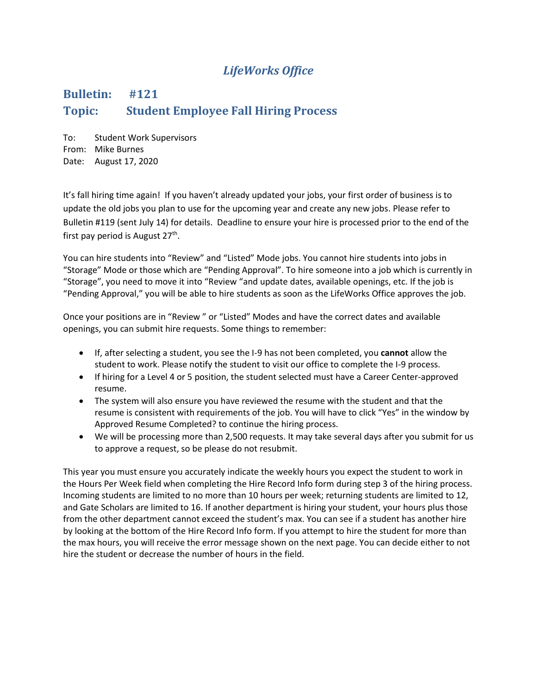## *LifeWorks Office*

## **Bulletin: #121 Topic: Student Employee Fall Hiring Process**

To: Student Work Supervisors From: Mike Burnes Date: August 17, 2020

It's fall hiring time again! If you haven't already updated your jobs, your first order of business is to update the old jobs you plan to use for the upcoming year and create any new jobs. Please refer to Bulletin #119 (sent July 14) for details. Deadline to ensure your hire is processed prior to the end of the first pay period is August 27<sup>th</sup>.

You can hire students into "Review" and "Listed" Mode jobs. You cannot hire students into jobs in "Storage" Mode or those which are "Pending Approval". To hire someone into a job which is currently in "Storage", you need to move it into "Review "and update dates, available openings, etc. If the job is "Pending Approval," you will be able to hire students as soon as the LifeWorks Office approves the job.

Once your positions are in "Review " or "Listed" Modes and have the correct dates and available openings, you can submit hire requests. Some things to remember:

- If, after selecting a student, you see the I-9 has not been completed, you **cannot** allow the student to work. Please notify the student to visit our office to complete the I-9 process.
- If hiring for a Level 4 or 5 position, the student selected must have a Career Center-approved resume.
- The system will also ensure you have reviewed the resume with the student and that the resume is consistent with requirements of the job. You will have to click "Yes" in the window by Approved Resume Completed? to continue the hiring process.
- We will be processing more than 2,500 requests. It may take several days after you submit for us to approve a request, so be please do not resubmit.

This year you must ensure you accurately indicate the weekly hours you expect the student to work in the Hours Per Week field when completing the Hire Record Info form during step 3 of the hiring process. Incoming students are limited to no more than 10 hours per week; returning students are limited to 12, and Gate Scholars are limited to 16. If another department is hiring your student, your hours plus those from the other department cannot exceed the student's max. You can see if a student has another hire by looking at the bottom of the Hire Record Info form. If you attempt to hire the student for more than the max hours, you will receive the error message shown on the next page. You can decide either to not hire the student or decrease the number of hours in the field.